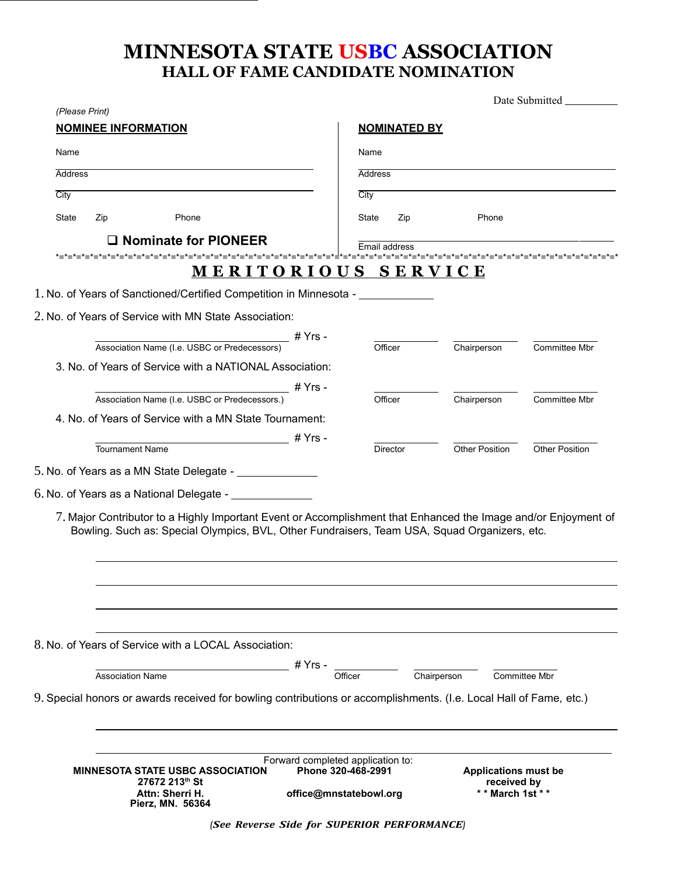## MINNESOTA STATE USBC ASSOCIATION **HALL OF FAME CANDIDATE NOMINATION**

| (Please Print)                                                                                                                                                                                                                                                                             |                                                                                   |                                                               |                       |
|--------------------------------------------------------------------------------------------------------------------------------------------------------------------------------------------------------------------------------------------------------------------------------------------|-----------------------------------------------------------------------------------|---------------------------------------------------------------|-----------------------|
| <b>NOMINEE INFORMATION</b>                                                                                                                                                                                                                                                                 | <b>NOMINATED BY</b>                                                               |                                                               |                       |
| Name                                                                                                                                                                                                                                                                                       | Name                                                                              |                                                               |                       |
| <b>Address</b>                                                                                                                                                                                                                                                                             | <b>Address</b>                                                                    |                                                               |                       |
| City                                                                                                                                                                                                                                                                                       | City                                                                              |                                                               |                       |
| State<br>Zip<br>Phone                                                                                                                                                                                                                                                                      | State<br>Zip                                                                      | Phone                                                         |                       |
| $\Box$ Nominate for PIONEER                                                                                                                                                                                                                                                                | Email address                                                                     |                                                               |                       |
| MERITORIOUS SERVICE                                                                                                                                                                                                                                                                        |                                                                                   |                                                               |                       |
| 1. No. of Years of Sanctioned/Certified Competition in Minnesota - _____________                                                                                                                                                                                                           |                                                                                   |                                                               |                       |
|                                                                                                                                                                                                                                                                                            |                                                                                   |                                                               |                       |
| 2. No. of Years of Service with MN State Association:                                                                                                                                                                                                                                      |                                                                                   |                                                               |                       |
| Association Name (I.e. USBC or Predecessors) # Yrs -                                                                                                                                                                                                                                       | Officer                                                                           | Chairperson                                                   | Committee Mbr         |
| 3. No. of Years of Service with a NATIONAL Association:                                                                                                                                                                                                                                    |                                                                                   |                                                               |                       |
| # Yrs -<br>Association Name (I.e. USBC or Predecessors.)                                                                                                                                                                                                                                   | Officer                                                                           |                                                               | <b>Committee Mbr</b>  |
| 4. No. of Years of Service with a MN State Tournament:                                                                                                                                                                                                                                     |                                                                                   | Chairperson                                                   |                       |
|                                                                                                                                                                                                                                                                                            |                                                                                   |                                                               |                       |
|                                                                                                                                                                                                                                                                                            |                                                                                   |                                                               |                       |
| Tournament Name                                                                                                                                                                                                                                                                            | <b>Director</b>                                                                   | <b>Other Position</b>                                         | <b>Other Position</b> |
|                                                                                                                                                                                                                                                                                            |                                                                                   |                                                               |                       |
|                                                                                                                                                                                                                                                                                            |                                                                                   |                                                               |                       |
| 7. Major Contributor to a Highly Important Event or Accomplishment that Enhanced the Image and/or Enjoyment of<br>Bowling. Such as: Special Olympics, BVL, Other Fundraisers, Team USA, Squad Organizers, etc.                                                                             |                                                                                   |                                                               |                       |
|                                                                                                                                                                                                                                                                                            |                                                                                   |                                                               |                       |
| # Yrs -<br><b>Association Name</b>                                                                                                                                                                                                                                                         | Officer                                                                           | Chairperson                                                   | Committee Mbr         |
|                                                                                                                                                                                                                                                                                            |                                                                                   |                                                               |                       |
| 5. No. of Years as a MN State Delegate - _____________<br>$6$ . No. of Years as a National Delegate - $\_\_$<br>8. No. of Years of Service with a LOCAL Association:<br>9. Special honors or awards received for bowling contributions or accomplishments. (I.e. Local Hall of Fame, etc.) |                                                                                   |                                                               |                       |
| <b>MINNESOTA STATE USBC ASSOCIATION</b><br>27672 213th St<br>Attn: Sherri H.                                                                                                                                                                                                               | Forward completed application to:<br>Phone 320-468-2991<br>office@mnstatebowl.org | <b>Applications must be</b><br>received by<br>** March 1st ** |                       |